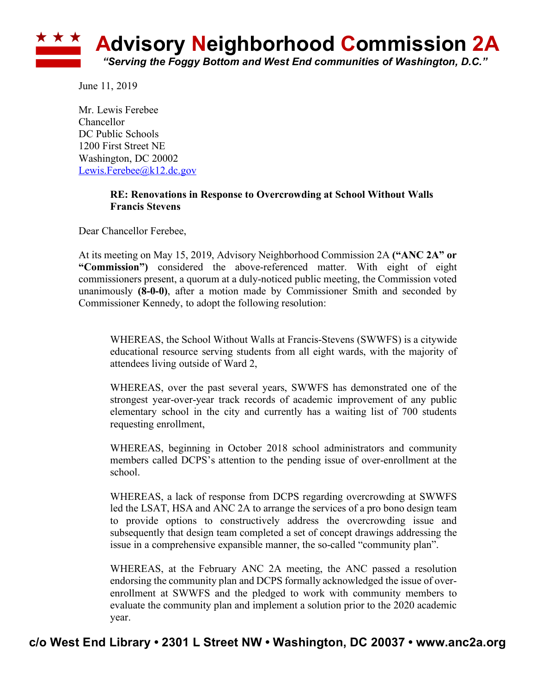

June 11, 2019

Mr. Lewis Ferebee Chancellor DC Public Schools 1200 First Street NE Washington, DC 20002 Lewis.Ferebee@k12.dc.gov

### **RE: Renovations in Response to Overcrowding at School Without Walls Francis Stevens**

Dear Chancellor Ferebee,

At its meeting on May 15, 2019, Advisory Neighborhood Commission 2A **("ANC 2A" or "Commission")** considered the above-referenced matter. With eight of eight commissioners present, a quorum at a duly-noticed public meeting, the Commission voted unanimously **(8-0-0)**, after a motion made by Commissioner Smith and seconded by Commissioner Kennedy, to adopt the following resolution:

WHEREAS, the School Without Walls at Francis-Stevens (SWWFS) is a citywide educational resource serving students from all eight wards, with the majority of attendees living outside of Ward 2,

WHEREAS, over the past several years, SWWFS has demonstrated one of the strongest year-over-year track records of academic improvement of any public elementary school in the city and currently has a waiting list of 700 students requesting enrollment,

WHEREAS, beginning in October 2018 school administrators and community members called DCPS's attention to the pending issue of over-enrollment at the school.

WHEREAS, a lack of response from DCPS regarding overcrowding at SWWFS led the LSAT, HSA and ANC 2A to arrange the services of a pro bono design team to provide options to constructively address the overcrowding issue and subsequently that design team completed a set of concept drawings addressing the issue in a comprehensive expansible manner, the so-called "community plan".

WHEREAS, at the February ANC 2A meeting, the ANC passed a resolution endorsing the community plan and DCPS formally acknowledged the issue of overenrollment at SWWFS and the pledged to work with community members to evaluate the community plan and implement a solution prior to the 2020 academic year.

# **c/o West End Library • 2301 L Street NW • Washington, DC 20037 • www.anc2a.org**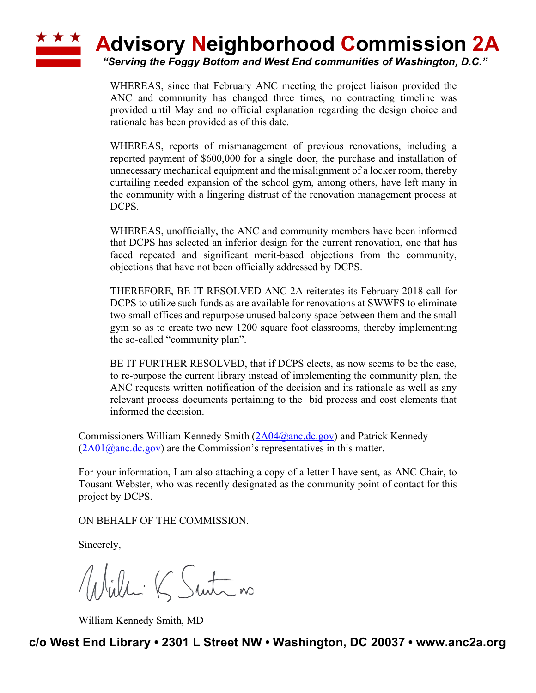## **\* \* \* Advisory Neighborhood Commission 2A** *"Serving the Foggy Bottom and West End communities of Washington, D.C."*

WHEREAS, since that February ANC meeting the project liaison provided the ANC and community has changed three times, no contracting timeline was provided until May and no official explanation regarding the design choice and rationale has been provided as of this date.

WHEREAS, reports of mismanagement of previous renovations, including a reported payment of \$600,000 for a single door, the purchase and installation of unnecessary mechanical equipment and the misalignment of a locker room, thereby curtailing needed expansion of the school gym, among others, have left many in the community with a lingering distrust of the renovation management process at DCPS.

WHEREAS, unofficially, the ANC and community members have been informed that DCPS has selected an inferior design for the current renovation, one that has faced repeated and significant merit-based objections from the community, objections that have not been officially addressed by DCPS.

THEREFORE, BE IT RESOLVED ANC 2A reiterates its February 2018 call for DCPS to utilize such funds as are available for renovations at SWWFS to eliminate two small offices and repurpose unused balcony space between them and the small gym so as to create two new 1200 square foot classrooms, thereby implementing the so-called "community plan".

BE IT FURTHER RESOLVED, that if DCPS elects, as now seems to be the case, to re-purpose the current library instead of implementing the community plan, the ANC requests written notification of the decision and its rationale as well as any relevant process documents pertaining to the bid process and cost elements that informed the decision.

Commissioners William Kennedy Smith (2A04@anc.dc.gov) and Patrick Kennedy  $(2A01@anc.de.gov)$  are the Commission's representatives in this matter.

For your information, I am also attaching a copy of a letter I have sent, as ANC Chair, to Tousant Webster, who was recently designated as the community point of contact for this project by DCPS.

ON BEHALF OF THE COMMISSION.

Sincerely,

Willi K Suite no

William Kennedy Smith, MD

**c/o West End Library • 2301 L Street NW • Washington, DC 20037 • www.anc2a.org**